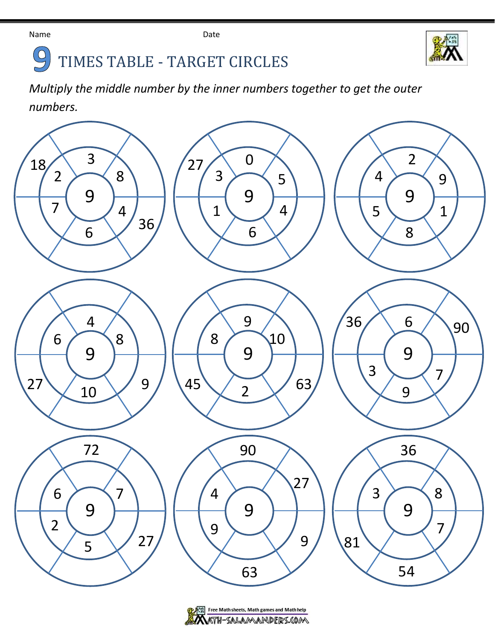

## $\bigodot$ TIMES TABLE - TARGET CIRCLES

*Multiply the middle number by the inner numbers together to get the outer numbers.*



Free Math sheets, Math games and Math help KTH-SALAMANDERS.COM